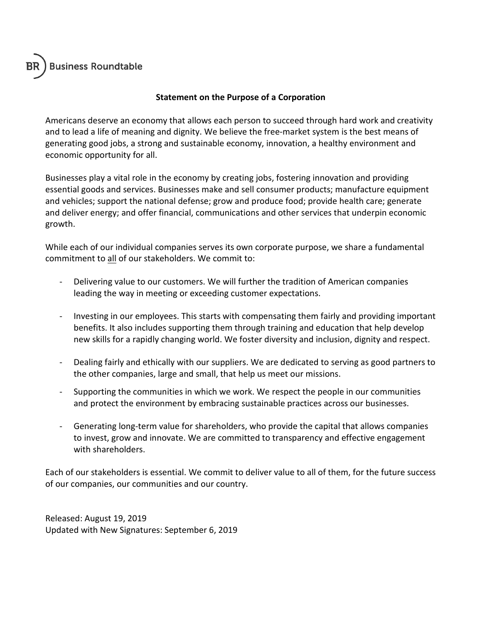## **Business Roundtable**

## **Statement on the Purpose of a Corporation**

Americans deserve an economy that allows each person to succeed through hard work and creativity and to lead a life of meaning and dignity. We believe the free-market system is the best means of generating good jobs, a strong and sustainable economy, innovation, a healthy environment and economic opportunity for all.

Businesses play a vital role in the economy by creating jobs, fostering innovation and providing essential goods and services. Businesses make and sell consumer products; manufacture equipment and vehicles; support the national defense; grow and produce food; provide health care; generate and deliver energy; and offer financial, communications and other services that underpin economic growth.

While each of our individual companies serves its own corporate purpose, we share a fundamental commitment to all of our stakeholders. We commit to:

- Delivering value to our customers. We will further the tradition of American companies leading the way in meeting or exceeding customer expectations.
- Investing in our employees. This starts with compensating them fairly and providing important benefits. It also includes supporting them through training and education that help develop new skills for a rapidly changing world. We foster diversity and inclusion, dignity and respect.
- Dealing fairly and ethically with our suppliers. We are dedicated to serving as good partners to the other companies, large and small, that help us meet our missions.
- Supporting the communities in which we work. We respect the people in our communities and protect the environment by embracing sustainable practices across our businesses.
- Generating long-term value for shareholders, who provide the capital that allows companies to invest, grow and innovate. We are committed to transparency and effective engagement with shareholders.

Each of our stakeholders is essential. We commit to deliver value to all of them, for the future success of our companies, our communities and our country.

Released: August 19, 2019 Updated with New Signatures: September 6, 2019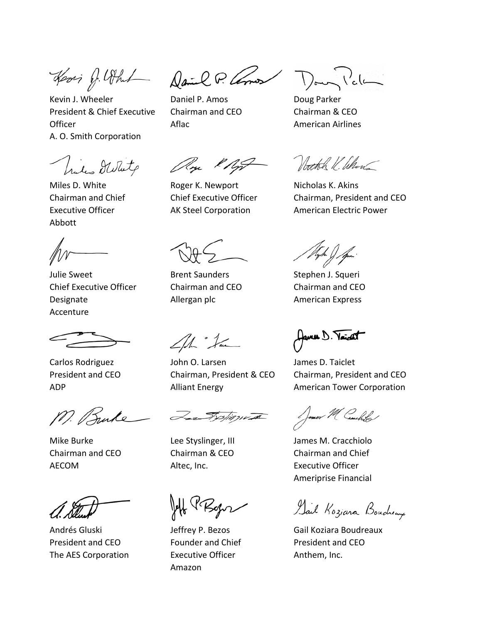Heori f. Ahl

Kevin J. Wheeler President & Chief Executive **Officer** A. O. Smith Corporation

Triles Itelate

Miles D. White Chairman and Chief Executive Officer Abbott

Julie Sweet Chief Executive Officer Designate Accenture

Carlos Rodriguez President and CEO ADP

M. Buke

Mike Burke Chairman and CEO AECOM

Andrés Gluski President and CEO The AES Corporation

Daniel P. Comos

Daniel P. Amos Chairman and CEO Aflac

Roger K. Newport Chief Executive Officer AK Steel Corporation

Don KRg

Down lake

Doug Parker Chairman & CEO American Airlines

Northh V. When

Nicholas K. Akins Chairman, President and CEO American Electric Power

Brent Saunders Chairman and CEO Allergan plc

Allen Jan

John O. Larsen Chairman, President & CEO Alliant Energy

Za Systiania

Lee Styslinger, III Chairman & CEO Altec, Inc.

Jeffrey P. Bezos Founder and Chief Executive Officer Amazon

Stephen J. Squeri Chairman and CEO American Express

Apmer D. Tainest

James D. Taiclet Chairman, President and CEO American Tower Corporation

Jamer M Cumhit

James M. Cracchiolo Chairman and Chief Executive Officer Ameriprise Financial

Sail Koziara Boucheaux

Gail Koziara Boudreaux President and CEO Anthem, Inc.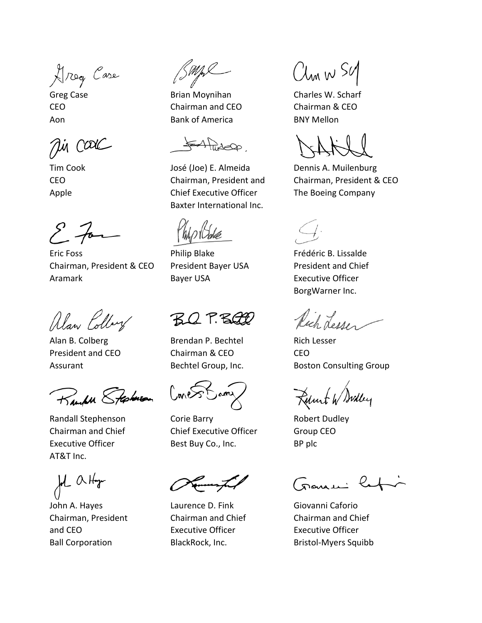Areg Case

Greg Case CEO Aon

Jij carc

Tim Cook CEO Apple

 $\mathcal{S}$  To

Eric Foss Chairman, President & CEO Aramark

Alaw Colley

Alan B. Colberg President and CEO Assurant

Rachel Stephen

Randall Stephenson Chairman and Chief Executive Officer AT&T Inc.

HL at

John A. Hayes Chairman, President and CEO Ball Corporation

(MpL

Brian Moynihan Chairman and CEO Bank of America

 $-4\theta$ 

José (Joe) E. Almeida Chairman, President and Chief Executive Officer Baxter International Inc.

Philip Blake President Bayer USA Bayer USA

B.C. P. BEEP

Brendan P. Bechtel Chairman & CEO Bechtel Group, Inc.

 $\mathbb{C}^{\mathsf{w}}$ e $\geq$ 

Corie Barry Chief Executive Officer Best Buy Co., Inc.

Laurence D. Fink Chairman and Chief Executive Officer BlackRock, Inc.

 $Cl_{VM} \ltimes SU$ 

Charles W. Scharf Chairman & CEO BNY Mellon

Dennis A. Muilenburg Chairman, President & CEO The Boeing Company

Frédéric B. Lissalde President and Chief Executive Officer BorgWarner Inc.

Rich Lesse

Rich Lesser CEO Boston Consulting Group

Falut W Willey

Robert Dudley Group CEO BP plc

GAMIL le

Giovanni Caforio Chairman and Chief Executive Officer Bristol-Myers Squibb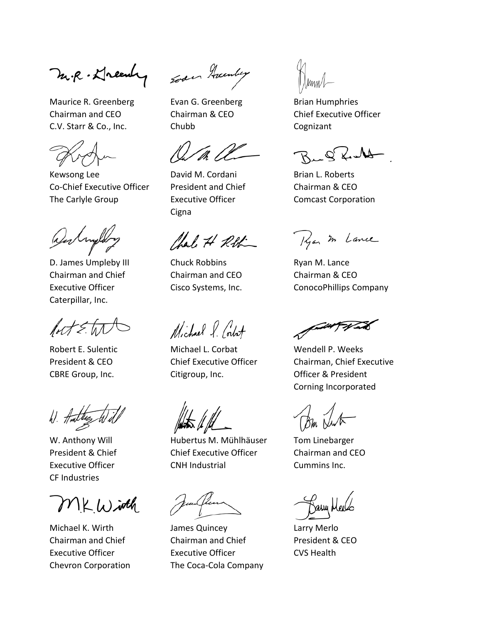m.R. Kneewly Soan Aucenber

Maurice R. Greenberg Chairman and CEO C.V. Starr & Co., Inc.

Kewsong Lee Co-Chief Executive Officer The Carlyle Group

Werking

D. James Umpleby III Chairman and Chief Executive Officer Caterpillar, Inc.

hot  $\lesssim 4\pi$ 

Robert E. Sulentic President & CEO CBRE Group, Inc.

W. Anthony Will President & Chief Executive Officer CF Industries

 $MK$  With

Michael K. Wirth Chairman and Chief Executive Officer Chevron Corporation

Evan G. Greenberg Chairman & CEO Chubb

David M. Cordani President and Chief Executive Officer **Cigna** 

Charle # Rbb\_

Chuck Robbins Chairman and CEO Cisco Systems, Inc.

Michael J. Corbet

Michael L. Corbat Chief Executive Officer Citigroup, Inc.

Hubertus M. Mühlhäuser Chief Executive Officer CNH Industrial

James Quincey Chairman and Chief Executive Officer The Coca-Cola Company

lmm/l—

Brian Humphries Chief Executive Officer Cognizant

 $Q' \nless \mathcal{N}$ 

Brian L. Roberts Chairman & CEO Comcast Corporation

Kyan In Lance

Ryan M. Lance Chairman & CEO ConocoPhillips Company

Wendell P. Weeks Chairman, Chief Executive Officer & President Corning Incorporated

Tom Linebarger Chairman and CEO Cummins Inc.

Sassu Mei

Larry Merlo President & CEO CVS Health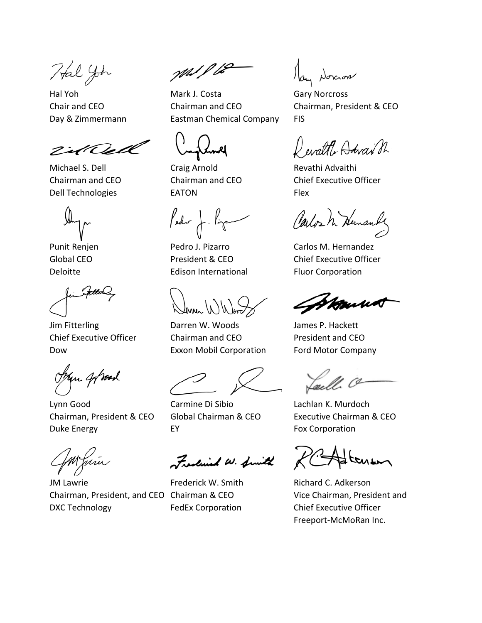Hal yoh

Hal Yoh Chair and CEO Day & Zimmermann

 $2\mathcal{A}\mathcal{O}_{\mathbf{Z}}$ 

Michael S. Dell Chairman and CEO Dell Technologies

Punit Renjen Global CEO Deloitte

<del>W Wes</del>

Jim Fitterling Chief Executive Officer Dow

Ken forboard

Lynn Good Chairman, President & CEO Duke Energy

JM Lawrie Chairman, President, and CEO Chairman & CEO DXC Technology

Mulf 18

Mark J. Costa Chairman and CEO Eastman Chemical Company

Craig Arnold Chairman and CEO EATON

Pedro J. Pizarro President & CEO Edison International

Imer

Darren W. Woods Chairman and CEO Exxon Mobil Corporation

Carmine Di Sibio Global Chairman & CEO EY

Frederick W. fruith

Frederick W. Smith FedEx Corporation

Doncrow

Gary Norcross Chairman, President & CEO FIS

Devattle Davan Ph.

Revathi Advaithi Chief Executive Officer Flex

Carlos h Herman

Carlos M. Hernandez Chief Executive Officer Fluor Corporation

muk

James P. Hackett President and CEO Ford Motor Company

Lachlan K. Murdoch Executive Chairman & CEO Fox Corporation

Richard C. Adkerson Vice Chairman, President and Chief Executive Officer Freeport-McMoRan Inc.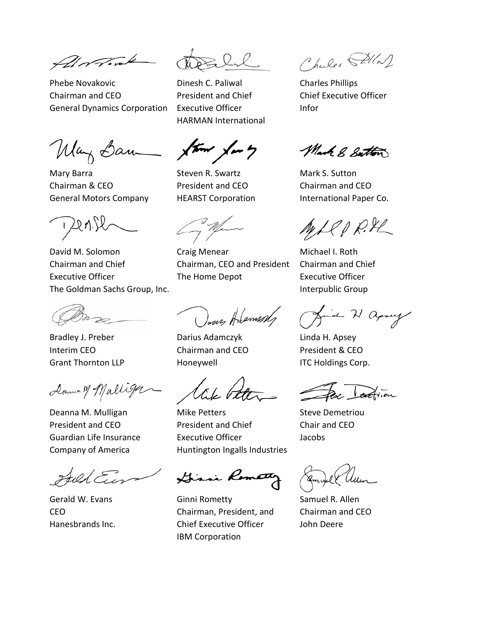Alatink

Phebe Novakovic Chairman and CEO General Dynamics Corporation

May Dam

Mary Barra Chairman & CEO General Motors Company

 $L(M)$ 

David M. Solomon Chairman and Chief Executive Officer The Goldman Sachs Group, Inc.

Bradley J. Preber Interim CEO Grant Thornton LLP

Danna M Malliga

Deanna M. Mulligan President and CEO Guardian Life Insurance Company of America

Gerald W. Evans CEO Hanesbrands Inc.

 $Q, Q$ 

Dinesh C. Paliwal President and Chief Executive Officer HARMAN International

them for y

Steven R. Swartz President and CEO HEARST Corporation

Craig Menear Chairman, CEO and President The Home Depot

Davis Halamesty

Darius Adamczyk Chairman and CEO Honeywell

tike (t

Mike Petters President and Chief Executive Officer Huntington Ingalls Industries

Girai Romett

Ginni Rometty Chairman, President, and Chief Executive Officer IBM Corporation

Charles Ellan

Charles Phillips Chief Executive Officer Infor

Mark & Sutton

Mark S. Sutton Chairman and CEO International Paper Co.

LED R.KL

Michael I. Roth Chairman and Chief Executive Officer Interpublic Group

find N. aprey

Linda H. Apsey President & CEO ITC Holdings Corp.

Steve Demetriou Chair and CEO Jacobs

Samuel R. Allen Chairman and CEO John Deere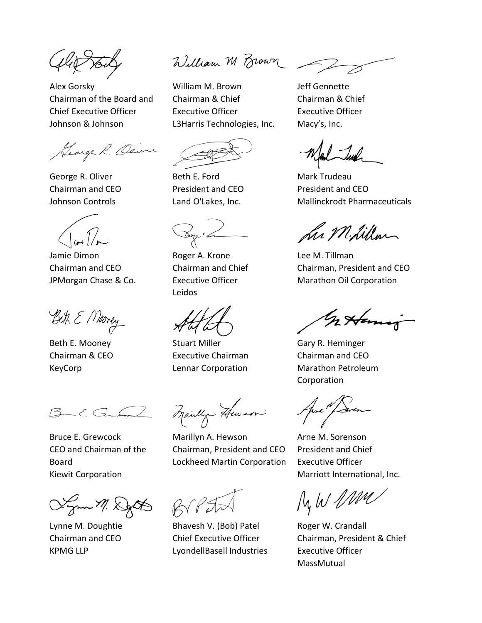Alex Gorsky Chairman of the Board and Chief Executive Officer Johnson & Johnson

George R. Oeuver

George R. Oliver Chairman and CEO Johnson Controls

Jamie Dimon Chairman and CEO JPMorgan Chase & Co.

Beth E Moore

Beth E. Mooney Chairman & CEO KeyCorp

But Gut

Bruce E. Grewcock CEO and Chairman of the Board Kiewit Corporation

Sym 11. Dept

Lynne M. Doughtie Chairman and CEO KPMG LLP

William M Brown

William M. Brown Chairman & Chief Executive Officer L3Harris Technologies, Inc.

Beth E. Ford President and CEO Land O'Lakes, Inc.

Roger A. Krone Chairman and Chief Executive Officer Leidos

Stuart Miller Executive Chairman Lennar Corporation

Mailly Hewson

Marillyn A. Hewson Chairman, President and CEO Lockheed Martin Corporation

Bhavesh V. (Bob) Patel Chief Executive Officer LyondellBasell Industries

Jeff Gennette Chairman & Chief Executive Officer Macy's, Inc.

Mark Trudeau President and CEO Mallinckrodt Pharmaceuticals

Lu M. Lillan

Lee M. Tillman Chairman, President and CEO Marathon Oil Corporation

In Herm

Gary R. Heminger Chairman and CEO Marathon Petroleum Corporation

Arne M. Sorenson President and Chief Executive Officer Marriott International, Inc.

My W Dane

Roger W. Crandall Chairman, President & Chief Executive Officer MassMutual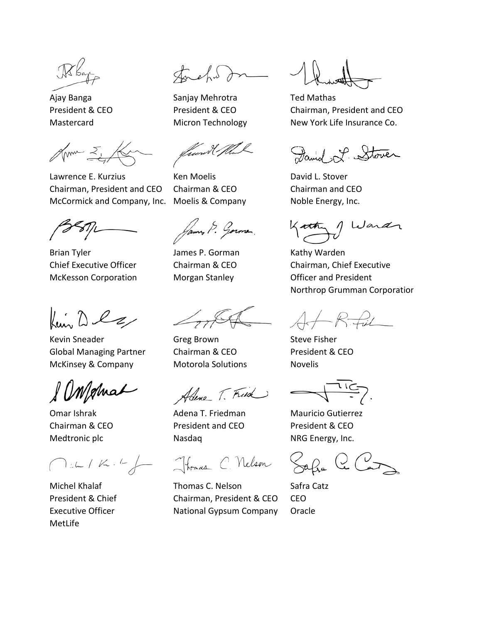Ajay Banga President & CEO Mastercard

 $\sqrt{N^2-2}$ 

Lawrence E. Kurzius Chairman, President and CEO McCormick and Company, Inc.

Brian Tyler Chief Executive Officer McKesson Corporation

Kein Dez

Kevin Sneader Global Managing Partner McKinsey & Company

Maluat

Omar Ishrak Chairman & CEO Medtronic plc

Millet K. L J Johannas C. Nelson

Michel Khalaf President & Chief Executive Officer MetLife

trich's In

Sanjay Mehrotra President & CEO Micron Technology

Rund ML

Ken Moelis Chairman & CEO Moelis & Company

James P. Gorman

James P. Gorman Chairman & CEO Morgan Stanley

Greg Brown Chairman & CEO Motorola Solutions

Adena T. Frid

Adena T. Friedman President and CEO Nasdaq

Thomas C. Nelson Chairman, President & CEO National Gypsum Company

Ted Mathas Chairman, President and CEO New York Life Insurance Co.

David of Stover

David L. Stover Chairman and CEO Noble Energy, Inc.

Kathy Wonder

Kathy Warden Chairman, Chief Executive Officer and President Northrop Grumman Corporation

 $A-R$ 

Steve Fisher President & CEO Novelis

Mauricio Gutierrez President & CEO NRG Energy, Inc.

Sala Ce Cat

Safra Catz CEO Oracle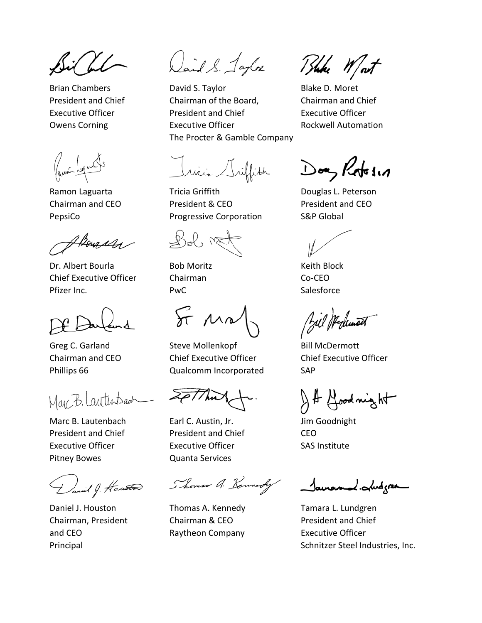Brian Chambers President and Chief Executive Officer Owens Corning

ausi heput

Ramon Laguarta Chairman and CEO PepsiCo

Dougales

Dr. Albert Bourla Chief Executive Officer Pfizer Inc.

Greg C. Garland Chairman and CEO Phillips 66

Marc B. Lautentsach

Marc B. Lautenbach President and Chief Executive Officer Pitney Bowes

I anul 9. Houston

Daniel J. Houston Chairman, President and CEO Principal

Daid S. Jaylor

David S. Taylor Chairman of the Board, President and Chief Executive Officer The Procter & Gamble Company

Iricia Sriffith

Tricia Griffith President & CEO Progressive Corporation

Bob Moritz Chairman PwC

Steve Mollenkopf Chief Executive Officer Qualcomm Incorporated

Earl C. Austin, Jr. President and Chief Executive Officer Quanta Services

Thomas A. Kennedy

Thomas A. Kennedy Chairman & CEO Raytheon Company

Bluke Wat

Blake D. Moret Chairman and Chief Executive Officer Rockwell Automation

Dog Rotosin

Douglas L. Peterson President and CEO S&P Global

Keith Block Co-CEO **Salesforce** 

fill Product

Bill McDermott Chief Executive Officer SAP

# Goodnight

Jim Goodnight CEO SAS Institute

Jamand.dudgram

Tamara L. Lundgren President and Chief Executive Officer Schnitzer Steel Industries, Inc.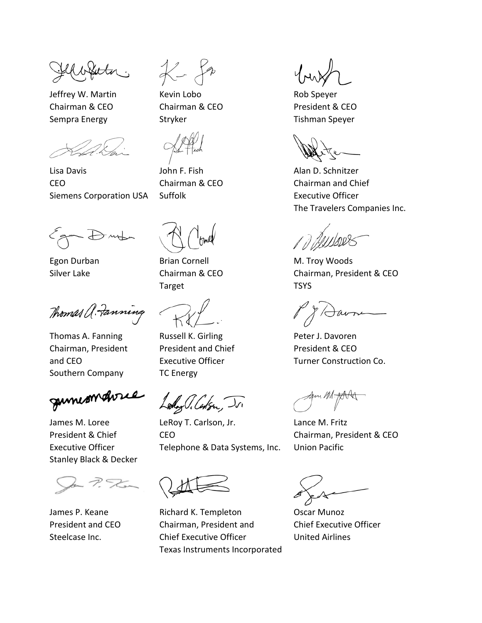$\mathcal{U}$ ta $\left(\cdot\right)$ 

Jeffrey W. Martin Chairman & CEO Sempra Energy

Lisa Davis CEO Siemens Corporation USA

Egon Durban Silver Lake

Thomas a. Fanning

Thomas A. Fanning Chairman, President and CEO Southern Company

gumeond

James M. Loree President & Chief Executive Officer Stanley Black & Decker

James P. Keane President and CEO Steelcase Inc.

 $K - F$ 

Kevin Lobo Chairman & CEO Stryker

John F. Fish Chairman & CEO Suffolk

Brian Cornell Chairman & CEO Target

Russell K. Girling President and Chief Executive Officer TC Energy

Lodge . Centre, 251

LeRoy T. Carlson, Jr. CEO Telephone & Data Systems, Inc.

Richard K. Templeton Chairman, President and Chief Executive Officer Texas Instruments Incorporated

Rob Speyer President & CEO Tishman Speyer

Alan D. Schnitzer Chairman and Chief Executive Officer The Travelers Companies Inc.

M. Troy Woods Chairman, President & CEO TSYS

Peter J. Davoren President & CEO Turner Construction Co.

Lance M. Fritz Chairman, President & CEO Union Pacific

Oscar Munoz Chief Executive Officer United Airlines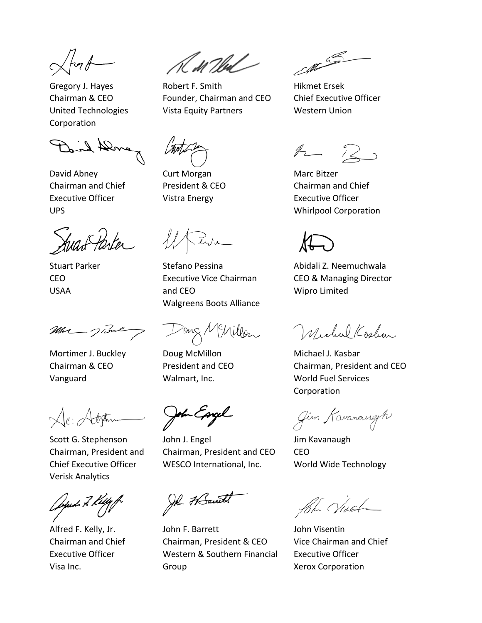$heta$ 

Gregory J. Hayes Chairman & CEO United Technologies Corporation

David Abney Chairman and Chief Executive Officer UPS

Stuart Parker CEO USAA

Mac 713mm

Mortimer J. Buckley Chairman & CEO Vanguard

De: Atophn

Scott G. Stephenson Chairman, President and Chief Executive Officer Verisk Analytics

(fyd 7 kill

Alfred F. Kelly, Jr. Chairman and Chief Executive Officer Visa Inc.

BM Vlod

Robert F. Smith Founder, Chairman and CEO Vista Equity Partners

Curt Morgan President & CEO Vistra Energy

Stefano Pessina Executive Vice Chairman and CEO Walgreens Boots Alliance

Dong McMillon

Doug McMillon President and CEO Walmart, Inc.

John Eprof

John J. Engel Chairman, President and CEO WESCO International, Inc.

John Hawith

John F. Barrett Chairman, President & CEO Western & Southern Financial Group

ON R.

Hikmet Ersek Chief Executive Officer Western Union

 $\mathbb{Z}$ 

Marc Bitzer Chairman and Chief Executive Officer Whirlpool Corporation

Abidali Z. Neemuchwala CEO & Managing Director Wipro Limited

Michael Koshan

Michael J. Kasbar Chairman, President and CEO World Fuel Services Corporation

Jim Kavanaurgh

Jim Kavanaugh CEO World Wide Technology

Ch Visch

John Visentin Vice Chairman and Chief Executive Officer Xerox Corporation